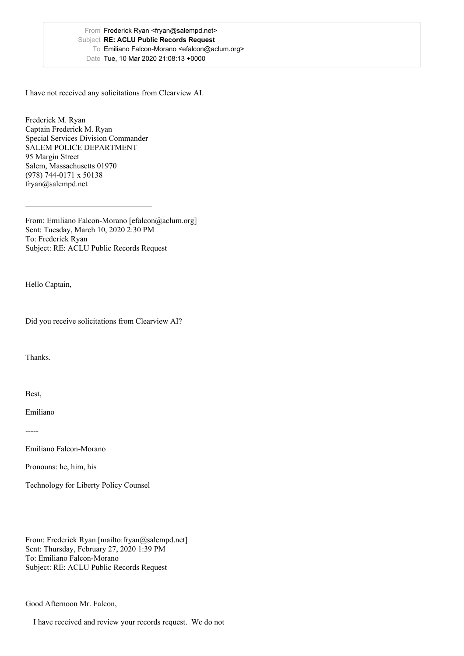I have not received any solicitations from Clearview AI.

Frederick M. Ryan Captain Frederick M. Ryan Special Services Division Commander SALEM POLICE DEPARTMENT 95 Margin Street Salem, Massachusetts 01970 (978) 744-0171 x 50138 fryan@salempd.net

From: Emiliano Falcon-Morano [efalcon@aclum.org] Sent: Tuesday, March 10, 2020 2:30 PM To: Frederick Ryan Subject: RE: ACLU Public Records Request

\_\_\_\_\_\_\_\_\_\_\_\_\_\_\_\_\_\_\_\_\_\_\_\_\_\_\_\_\_\_\_\_

Hello Captain,

Did you receive solicitations from Clearview AI?

Thanks.

Best,

Emiliano

-----

Emiliano Falcon-Morano

Pronouns: he, him, his

Technology for Liberty Policy Counsel

From: Frederick Ryan [mailto:fryan@salempd.net] Sent: Thursday, February 27, 2020 1:39 PM To: Emiliano Falcon-Morano Subject: RE: ACLU Public Records Request

Good Afternoon Mr. Falcon,

I have received and review your records request. We do not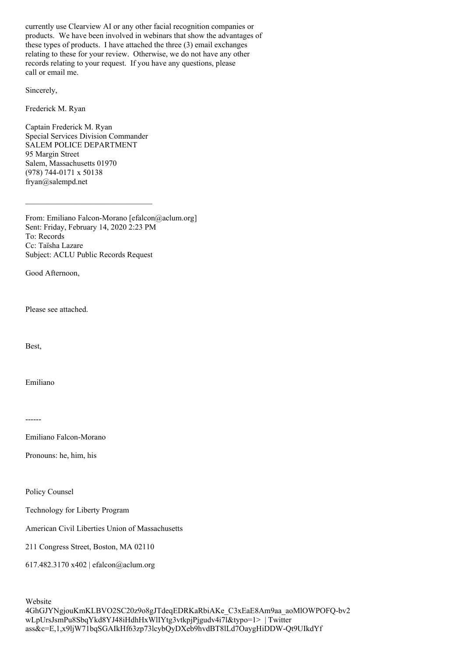currently use Clearview AI or any other facial recognition companies or products. We have been involved in webinars that show the advantages of these types of products. I have attached the three (3) email exchanges relating to these for your review. Otherwise, we do not have any other records relating to your request. If you have any questions, please call or email me.

Sincerely,

Frederick M. Ryan

Captain Frederick M. Ryan Special Services Division Commander SALEM POLICE DEPARTMENT 95 Margin Street Salem, Massachusetts 01970 (978) 744-0171 x 50138 fryan@salempd.net

From: Emiliano Falcon-Morano [efalcon@aclum.org] Sent: Friday, February 14, 2020 2:23 PM To: Records Cc: Taïsha Lazare Subject: ACLU Public Records Request

Good Afternoon,

Please see attached.

Best,

Emiliano

------

Emiliano Falcon-Morano

Pronouns: he, him, his

Policy Counsel

Technology for Liberty Program

American Civil Liberties Union of Massachusetts

211 Congress Street, Boston, MA 02110

617.482.3170 x402 | efalcon@aclum.org

Website 4GhGJYNgjouKmKLBVO2SC20z9o8gJTdeqEDRKaRbiAKe\_C3xEaE8Am9aa\_aoMlOWPOFQ-bv2 wLpUrsJsmPu8SbqYkd8YJ48iHdhHxWlIYtg3vtkpjPjgudv4i7l&typo=1> | Twitter ass&c=E,1,x9ljW71bqSGAIkHf63zp73lcybQyDXeb9hvdBT8lLd7OaygHiDDW-Qt9UIkdYf